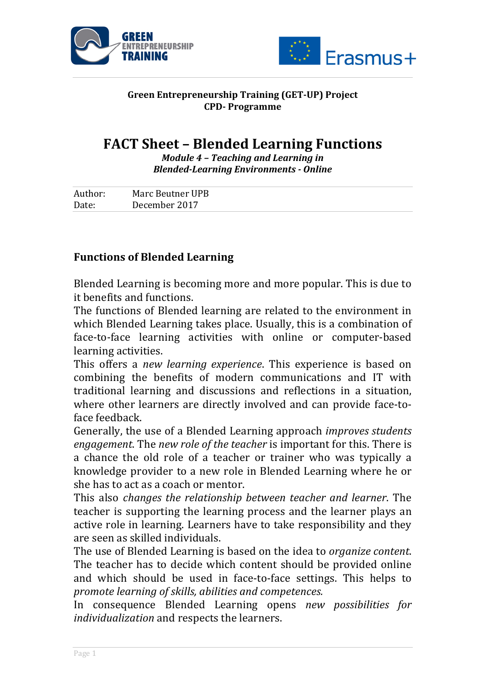



## **Green Entrepreneurship Training (GET-UP) Project CPD- Programme**

## **FACT Sheet - Blended Learning Functions**

*Module* 4 - Teaching and Learning in *Blended-Learning Environments - Online*

| Author: | Marc Beutner UPB |
|---------|------------------|
| Date:   | December 2017    |

## **Functions of Blended Learning**

Blended Learning is becoming more and more popular. This is due to it benefits and functions.

The functions of Blended learning are related to the environment in which Blended Learning takes place. Usually, this is a combination of face-to-face learning activities with online or computer-based learning activities.

This offers a *new learning experience*. This experience is based on combining the benefits of modern communications and IT with traditional learning and discussions and reflections in a situation, where other learners are directly involved and can provide face-toface feedback.

Generally, the use of a Blended Learning approach *improves students engagement*. The *new role of the teacher* is important for this. There is a chance the old role of a teacher or trainer who was typically a knowledge provider to a new role in Blended Learning where he or she has to act as a coach or mentor.

This also *changes the relationship between teacher and learner*. The teacher is supporting the learning process and the learner plays an active role in learning. Learners have to take responsibility and they are seen as skilled individuals.

The use of Blended Learning is based on the idea to *organize content*. The teacher has to decide which content should be provided online and which should be used in face-to-face settings. This helps to *promote learning of skills, abilities and competences.*

In consequence Blended Learning opens *new possibilities for individualization* and respects the learners.